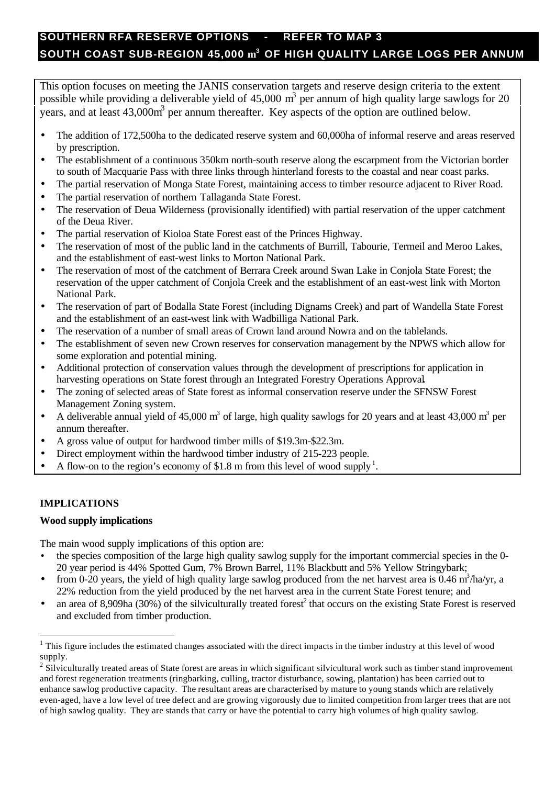# **SOUTHERN RFA RESERVE OPTIONS - REFER TO MAP 3 SOUTH COAST SUB-REGION 45,000 m 3 OF HIGH QUALITY LARGE LOGS PER ANNUM**

This option focuses on meeting the JANIS conservation targets and reserve design criteria to the extent possible while providing a deliverable yield of 45,000  $m<sup>3</sup>$  per annum of high quality large sawlogs for 20 years, and at least  $43,000\text{m}^3$  per annum thereafter. Key aspects of the option are outlined below.

- The addition of 172,500ha to the dedicated reserve system and 60,000ha of informal reserve and areas reserved by prescription.
- The establishment of a continuous 350km north-south reserve along the escarpment from the Victorian border to south of Macquarie Pass with three links through hinterland forests to the coastal and near coast parks.
- The partial reservation of Monga State Forest, maintaining access to timber resource adjacent to River Road.
- The partial reservation of northern Tallaganda State Forest.
- The reservation of Deua Wilderness (provisionally identified) with partial reservation of the upper catchment of the Deua River.
- The partial reservation of Kioloa State Forest east of the Princes Highway.
- The reservation of most of the public land in the catchments of Burrill, Tabourie, Termeil and Meroo Lakes, and the establishment of east-west links to Morton National Park.
- The reservation of most of the catchment of Berrara Creek around Swan Lake in Conjola State Forest; the reservation of the upper catchment of Conjola Creek and the establishment of an east-west link with Morton National Park.
- The reservation of part of Bodalla State Forest (including Dignams Creek) and part of Wandella State Forest and the establishment of an east-west link with Wadbilliga National Park.
- The reservation of a number of small areas of Crown land around Nowra and on the tablelands.
- The establishment of seven new Crown reserves for conservation management by the NPWS which allow for some exploration and potential mining.
- Additional protection of conservation values through the development of prescriptions for application in harvesting operations on State forest through an Integrated Forestry Operations Approval**.**
- The zoning of selected areas of State forest as informal conservation reserve under the SFNSW Forest Management Zoning system.
- A deliverable annual yield of 45,000 m<sup>3</sup> of large, high quality sawlogs for 20 years and at least 43,000 m<sup>3</sup> per annum thereafter.
- A gross value of output for hardwood timber mills of \$19.3m-\$22.3m.
- Direct employment within the hardwood timber industry of 215-223 people.
- A flow-on to the region's economy of \$1.8 m from this level of wood supply<sup>1</sup>.

## **IMPLICATIONS**

l

### **Wood supply implications**

The main wood supply implications of this option are:

- the species composition of the large high quality sawlog supply for the important commercial species in the 0-20 year period is 44% Spotted Gum, 7% Brown Barrel, 11% Blackbutt and 5% Yellow Stringybark;
- from 0-20 years, the yield of high quality large sawlog produced from the net harvest area is  $0.46 \text{ m}^3/\text{ha/yr}$ , a 22% reduction from the yield produced by the net harvest area in the current State Forest tenure; and
- an area of 8,909ha (30%) of the silviculturally treated forest<sup>2</sup> that occurs on the existing State Forest is reserved and excluded from timber production.

 $1$  This figure includes the estimated changes associated with the direct impacts in the timber industry at this level of wood supply.

 $2\overline{\text{2}}$  Silviculturally treated areas of State forest are areas in which significant silvicultural work such as timber stand improvement and forest regeneration treatments (ringbarking, culling, tractor disturbance, sowing, plantation) has been carried out to enhance sawlog productive capacity. The resultant areas are characterised by mature to young stands which are relatively even-aged, have a low level of tree defect and are growing vigorously due to limited competition from larger trees that are not of high sawlog quality. They are stands that carry or have the potential to carry high volumes of high quality sawlog.